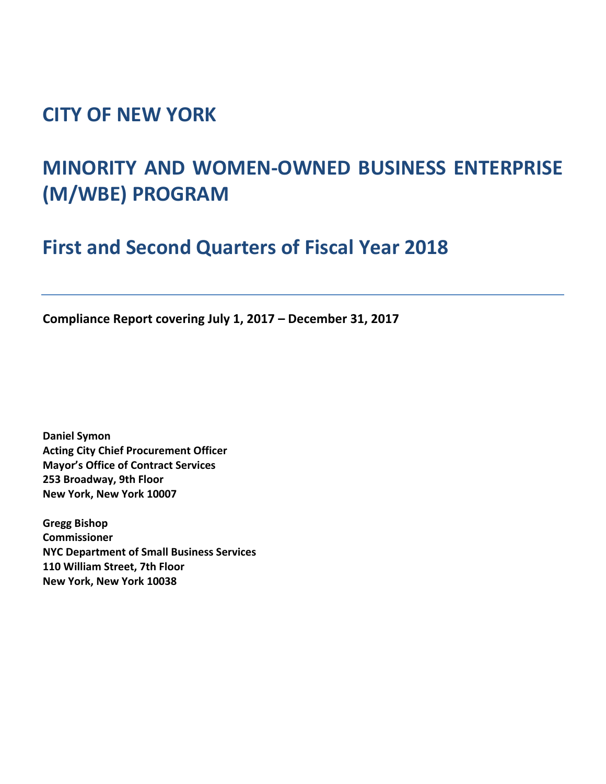### **CITY OF NEW YORK**

# **MINORITY AND WOMEN‐OWNED BUSINESS ENTERPRISE (M/WBE) PROGRAM**

## **First and Second Quarters of Fiscal Year 2018**

**Compliance Report covering July 1, 2017 – December 31, 2017**

**Daniel Symon Acting City Chief Procurement Officer Mayor's Office of Contract Services 253 Broadway, 9th Floor New York, New York 10007**

**Gregg Bishop Commissioner NYC Department of Small Business Services 110 William Street, 7th Floor New York, New York 10038**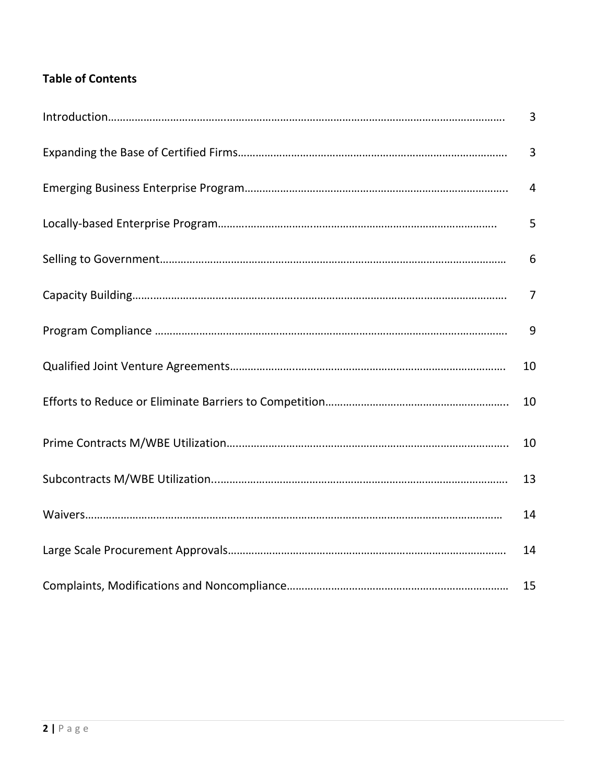### **Table of Contents**

| $\overline{3}$ |
|----------------|
| $\overline{3}$ |
| $\overline{4}$ |
| 5              |
| 6              |
| $\overline{7}$ |
| 9              |
| 10             |
| 10             |
| 10             |
| 13             |
| 14             |
| 14             |
| 15             |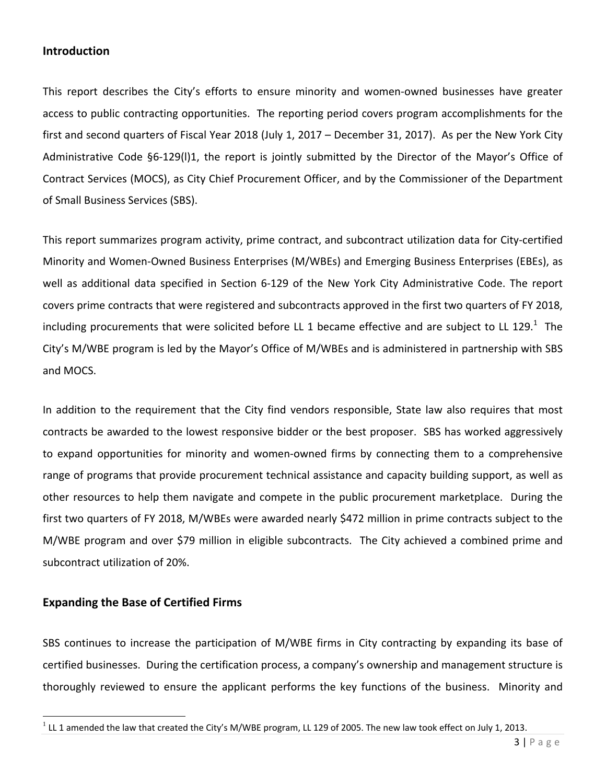#### **Introduction**

This report describes the City's efforts to ensure minority and women‐owned businesses have greater access to public contracting opportunities. The reporting period covers program accomplishments for the first and second quarters of Fiscal Year 2018 (July 1, 2017 – December 31, 2017). As per the New York City Administrative Code §6‐129(l)1, the report is jointly submitted by the Director of the Mayor's Office of Contract Services (MOCS), as City Chief Procurement Officer, and by the Commissioner of the Department of Small Business Services (SBS).

This report summarizes program activity, prime contract, and subcontract utilization data for City‐certified Minority and Women‐Owned Business Enterprises (M/WBEs) and Emerging Business Enterprises (EBEs), as well as additional data specified in Section 6-129 of the New York City Administrative Code. The report covers prime contracts that were registered and subcontracts approved in the first two quarters of FY 2018, including procurements that were solicited before LL 1 became effective and are subject to LL 129.<sup>1</sup> The City's M/WBE program is led by the Mayor's Office of M/WBEs and is administered in partnership with SBS and MOCS.

In addition to the requirement that the City find vendors responsible, State law also requires that most contracts be awarded to the lowest responsive bidder or the best proposer. SBS has worked aggressively to expand opportunities for minority and women‐owned firms by connecting them to a comprehensive range of programs that provide procurement technical assistance and capacity building support, as well as other resources to help them navigate and compete in the public procurement marketplace. During the first two quarters of FY 2018, M/WBEs were awarded nearly \$472 million in prime contracts subject to the M/WBE program and over \$79 million in eligible subcontracts. The City achieved a combined prime and subcontract utilization of 20%.

#### **Expanding the Base of Certified Firms**

SBS continues to increase the participation of M/WBE firms in City contracting by expanding its base of certified businesses. During the certification process, a company's ownership and management structure is thoroughly reviewed to ensure the applicant performs the key functions of the business. Minority and

 $1$  LL 1 amended the law that created the City's M/WBE program, LL 129 of 2005. The new law took effect on July 1, 2013.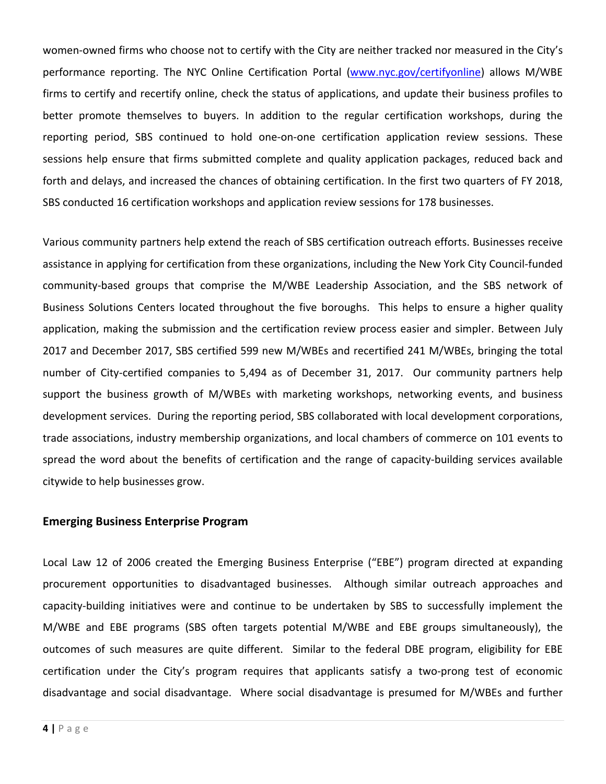women-owned firms who choose not to certify with the City are neither tracked nor measured in the City's performance reporting. The NYC Online Certification Portal (www.nyc.gov/certifyonline) allows M/WBE firms to certify and recertify online, check the status of applications, and update their business profiles to better promote themselves to buyers. In addition to the regular certification workshops, during the reporting period, SBS continued to hold one-on-one certification application review sessions. These sessions help ensure that firms submitted complete and quality application packages, reduced back and forth and delays, and increased the chances of obtaining certification. In the first two quarters of FY 2018, SBS conducted 16 certification workshops and application review sessions for 178 businesses.

Various community partners help extend the reach of SBS certification outreach efforts. Businesses receive assistance in applying for certification from these organizations, including the New York City Council‐funded community‐based groups that comprise the M/WBE Leadership Association, and the SBS network of Business Solutions Centers located throughout the five boroughs. This helps to ensure a higher quality application, making the submission and the certification review process easier and simpler. Between July 2017 and December 2017, SBS certified 599 new M/WBEs and recertified 241 M/WBEs, bringing the total number of City-certified companies to 5,494 as of December 31, 2017. Our community partners help support the business growth of M/WBEs with marketing workshops, networking events, and business development services. During the reporting period, SBS collaborated with local development corporations, trade associations, industry membership organizations, and local chambers of commerce on 101 events to spread the word about the benefits of certification and the range of capacity-building services available citywide to help businesses grow.

#### **Emerging Business Enterprise Program**

Local Law 12 of 2006 created the Emerging Business Enterprise ("EBE") program directed at expanding procurement opportunities to disadvantaged businesses. Although similar outreach approaches and capacity‐building initiatives were and continue to be undertaken by SBS to successfully implement the M/WBE and EBE programs (SBS often targets potential M/WBE and EBE groups simultaneously), the outcomes of such measures are quite different. Similar to the federal DBE program, eligibility for EBE certification under the City's program requires that applicants satisfy a two-prong test of economic disadvantage and social disadvantage. Where social disadvantage is presumed for M/WBEs and further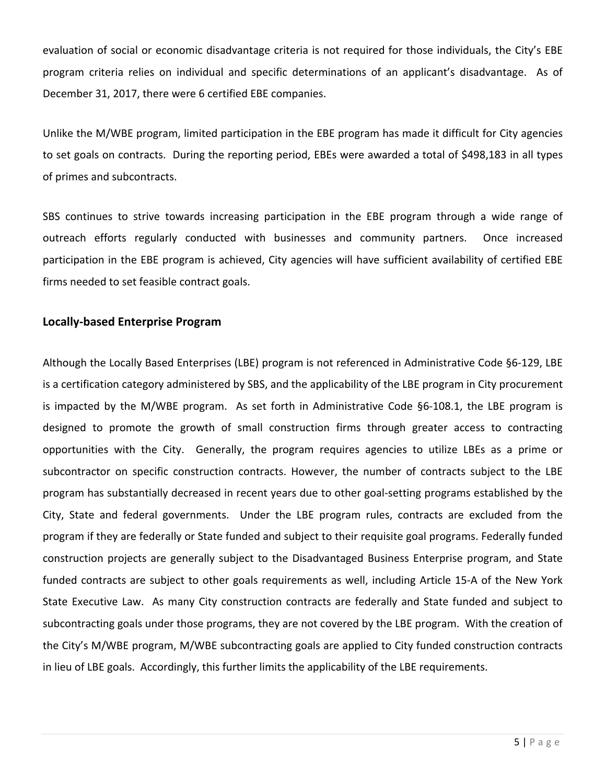evaluation of social or economic disadvantage criteria is not required for those individuals, the City's EBE program criteria relies on individual and specific determinations of an applicant's disadvantage. As of December 31, 2017, there were 6 certified EBE companies.

Unlike the M/WBE program, limited participation in the EBE program has made it difficult for City agencies to set goals on contracts. During the reporting period, EBEs were awarded a total of \$498,183 in all types of primes and subcontracts.

SBS continues to strive towards increasing participation in the EBE program through a wide range of outreach efforts regularly conducted with businesses and community partners. Once increased participation in the EBE program is achieved, City agencies will have sufficient availability of certified EBE firms needed to set feasible contract goals.

#### **Locally‐based Enterprise Program**

Although the Locally Based Enterprises (LBE) program is not referenced in Administrative Code §6‐129, LBE is a certification category administered by SBS, and the applicability of the LBE program in City procurement is impacted by the M/WBE program. As set forth in Administrative Code §6-108.1, the LBE program is designed to promote the growth of small construction firms through greater access to contracting opportunities with the City. Generally, the program requires agencies to utilize LBEs as a prime or subcontractor on specific construction contracts. However, the number of contracts subject to the LBE program has substantially decreased in recent years due to other goal‐setting programs established by the City, State and federal governments. Under the LBE program rules, contracts are excluded from the program if they are federally or State funded and subject to their requisite goal programs. Federally funded construction projects are generally subject to the Disadvantaged Business Enterprise program, and State funded contracts are subject to other goals requirements as well, including Article 15‐A of the New York State Executive Law. As many City construction contracts are federally and State funded and subject to subcontracting goals under those programs, they are not covered by the LBE program. With the creation of the City's M/WBE program, M/WBE subcontracting goals are applied to City funded construction contracts in lieu of LBE goals. Accordingly, this further limits the applicability of the LBE requirements.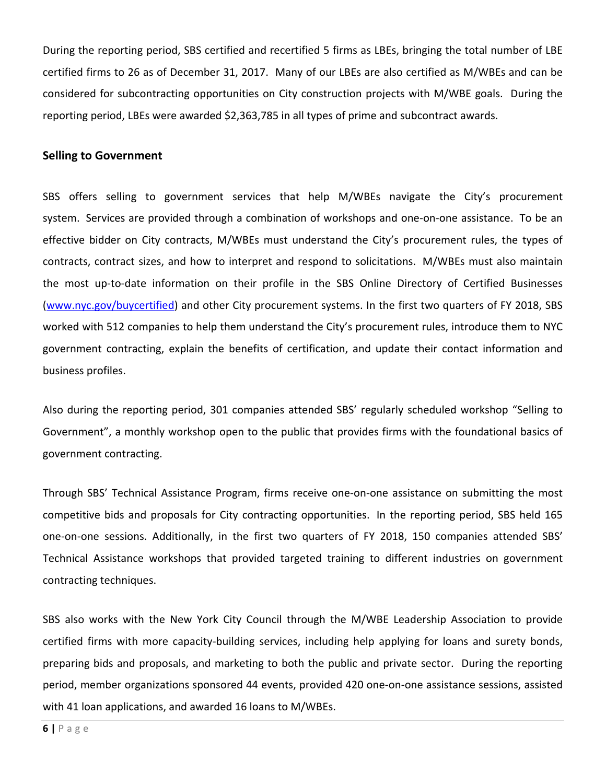During the reporting period, SBS certified and recertified 5 firms as LBEs, bringing the total number of LBE certified firms to 26 as of December 31, 2017. Many of our LBEs are also certified as M/WBEs and can be considered for subcontracting opportunities on City construction projects with M/WBE goals. During the reporting period, LBEs were awarded \$2,363,785 in all types of prime and subcontract awards.

#### **Selling to Government**

SBS offers selling to government services that help M/WBEs navigate the City's procurement system. Services are provided through a combination of workshops and one-on-one assistance. To be an effective bidder on City contracts, M/WBEs must understand the City's procurement rules, the types of contracts, contract sizes, and how to interpret and respond to solicitations. M/WBEs must also maintain the most up‐to‐date information on their profile in the SBS Online Directory of Certified Businesses (www.nyc.gov/buycertified) and other City procurement systems. In the first two quarters of FY 2018, SBS worked with 512 companies to help them understand the City's procurement rules, introduce them to NYC government contracting, explain the benefits of certification, and update their contact information and business profiles.

Also during the reporting period, 301 companies attended SBS' regularly scheduled workshop "Selling to Government", a monthly workshop open to the public that provides firms with the foundational basics of government contracting.

Through SBS' Technical Assistance Program, firms receive one‐on‐one assistance on submitting the most competitive bids and proposals for City contracting opportunities. In the reporting period, SBS held 165 one‐on‐one sessions. Additionally, in the first two quarters of FY 2018, 150 companies attended SBS' Technical Assistance workshops that provided targeted training to different industries on government contracting techniques.

SBS also works with the New York City Council through the M/WBE Leadership Association to provide certified firms with more capacity‐building services, including help applying for loans and surety bonds, preparing bids and proposals, and marketing to both the public and private sector. During the reporting period, member organizations sponsored 44 events, provided 420 one‐on‐one assistance sessions, assisted with 41 loan applications, and awarded 16 loans to M/WBEs.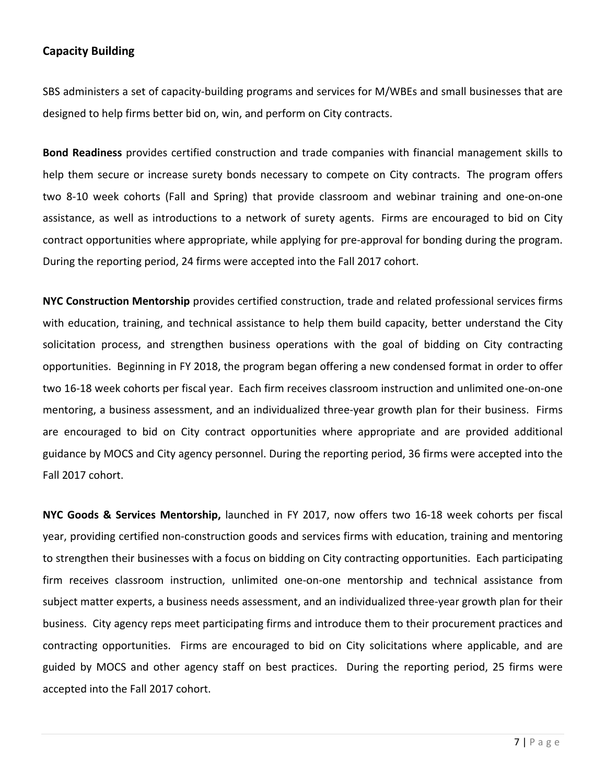#### **Capacity Building**

SBS administers a set of capacity-building programs and services for M/WBEs and small businesses that are designed to help firms better bid on, win, and perform on City contracts.

**Bond Readiness** provides certified construction and trade companies with financial management skills to help them secure or increase surety bonds necessary to compete on City contracts. The program offers two 8‐10 week cohorts (Fall and Spring) that provide classroom and webinar training and one‐on‐one assistance, as well as introductions to a network of surety agents. Firms are encouraged to bid on City contract opportunities where appropriate, while applying for pre‐approval for bonding during the program. During the reporting period, 24 firms were accepted into the Fall 2017 cohort.

**NYC Construction Mentorship** provides certified construction, trade and related professional services firms with education, training, and technical assistance to help them build capacity, better understand the City solicitation process, and strengthen business operations with the goal of bidding on City contracting opportunities. Beginning in FY 2018, the program began offering a new condensed format in order to offer two 16‐18 week cohorts per fiscal year. Each firm receives classroom instruction and unlimited one‐on‐one mentoring, a business assessment, and an individualized three-year growth plan for their business. Firms are encouraged to bid on City contract opportunities where appropriate and are provided additional guidance by MOCS and City agency personnel. During the reporting period, 36 firms were accepted into the Fall 2017 cohort.

**NYC Goods & Services Mentorship,** launched in FY 2017, now offers two 16‐18 week cohorts per fiscal year, providing certified non‐construction goods and services firms with education, training and mentoring to strengthen their businesses with a focus on bidding on City contracting opportunities. Each participating firm receives classroom instruction, unlimited one-on-one mentorship and technical assistance from subject matter experts, a business needs assessment, and an individualized three‐year growth plan for their business. City agency reps meet participating firms and introduce them to their procurement practices and contracting opportunities. Firms are encouraged to bid on City solicitations where applicable, and are guided by MOCS and other agency staff on best practices. During the reporting period, 25 firms were accepted into the Fall 2017 cohort.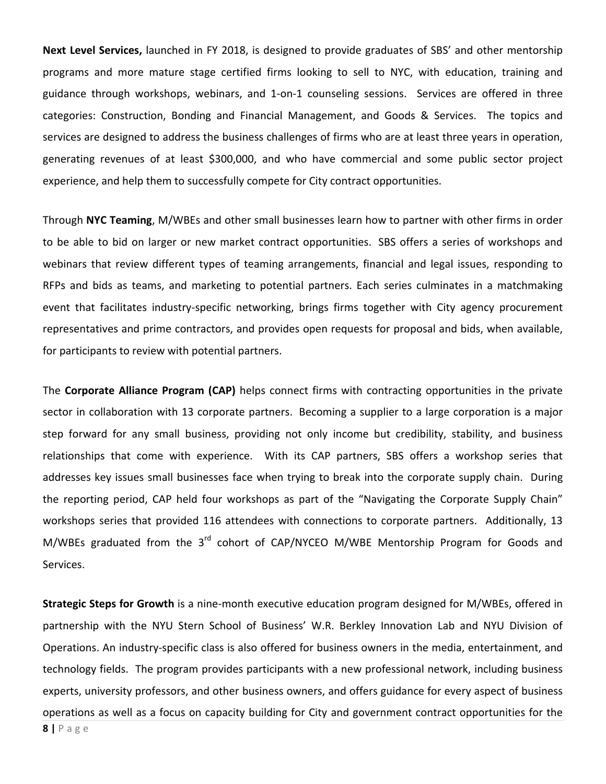**Next Level Services,** launched in FY 2018, is designed to provide graduates of SBS' and other mentorship programs and more mature stage certified firms looking to sell to NYC, with education, training and guidance through workshops, webinars, and 1-on-1 counseling sessions. Services are offered in three categories: Construction, Bonding and Financial Management, and Goods & Services. The topics and services are designed to address the business challenges of firms who are at least three years in operation, generating revenues of at least \$300,000, and who have commercial and some public sector project experience, and help them to successfully compete for City contract opportunities.

Through **NYC Teaming**, M/WBEs and other small businesses learn how to partner with other firms in order to be able to bid on larger or new market contract opportunities. SBS offers a series of workshops and webinars that review different types of teaming arrangements, financial and legal issues, responding to RFPs and bids as teams, and marketing to potential partners. Each series culminates in a matchmaking event that facilitates industry‐specific networking, brings firms together with City agency procurement representatives and prime contractors, and provides open requests for proposal and bids, when available, for participants to review with potential partners.

The **Corporate Alliance Program (CAP)** helps connect firms with contracting opportunities in the private sector in collaboration with 13 corporate partners. Becoming a supplier to a large corporation is a major step forward for any small business, providing not only income but credibility, stability, and business relationships that come with experience. With its CAP partners, SBS offers a workshop series that addresses key issues small businesses face when trying to break into the corporate supply chain. During the reporting period, CAP held four workshops as part of the "Navigating the Corporate Supply Chain" workshops series that provided 116 attendees with connections to corporate partners. Additionally, 13 M/WBEs graduated from the  $3<sup>rd</sup>$  cohort of CAP/NYCEO M/WBE Mentorship Program for Goods and Services.

**Strategic Steps for Growth** is a nine‐month executive education program designed for M/WBEs, offered in partnership with the NYU Stern School of Business' W.R. Berkley Innovation Lab and NYU Division of Operations. An industry‐specific class is also offered for business owners in the media, entertainment, and technology fields. The program provides participants with a new professional network, including business experts, university professors, and other business owners, and offers guidance for every aspect of business operations as well as a focus on capacity building for City and government contract opportunities for the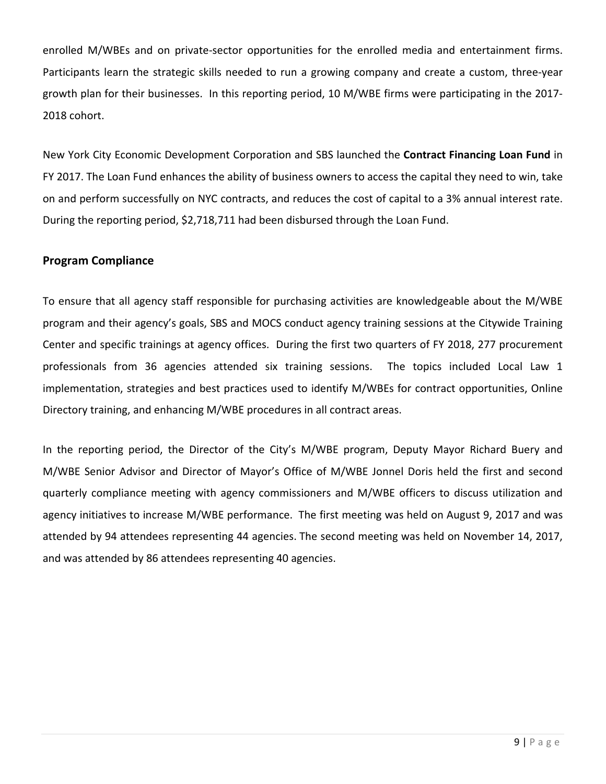enrolled M/WBEs and on private-sector opportunities for the enrolled media and entertainment firms. Participants learn the strategic skills needed to run a growing company and create a custom, three‐year growth plan for their businesses. In this reporting period, 10 M/WBE firms were participating in the 2017‐ 2018 cohort.

New York City Economic Development Corporation and SBS launched the **Contract Financing Loan Fund** in FY 2017. The Loan Fund enhances the ability of business owners to access the capital they need to win, take on and perform successfully on NYC contracts, and reduces the cost of capital to a 3% annual interest rate. During the reporting period, \$2,718,711 had been disbursed through the Loan Fund.

#### **Program Compliance**

To ensure that all agency staff responsible for purchasing activities are knowledgeable about the M/WBE program and their agency's goals, SBS and MOCS conduct agency training sessions at the Citywide Training Center and specific trainings at agency offices. During the first two quarters of FY 2018, 277 procurement professionals from 36 agencies attended six training sessions. The topics included Local Law 1 implementation, strategies and best practices used to identify M/WBEs for contract opportunities, Online Directory training, and enhancing M/WBE procedures in all contract areas.

In the reporting period, the Director of the City's M/WBE program, Deputy Mayor Richard Buery and M/WBE Senior Advisor and Director of Mayor's Office of M/WBE Jonnel Doris held the first and second quarterly compliance meeting with agency commissioners and M/WBE officers to discuss utilization and agency initiatives to increase M/WBE performance. The first meeting was held on August 9, 2017 and was attended by 94 attendees representing 44 agencies. The second meeting was held on November 14, 2017, and was attended by 86 attendees representing 40 agencies.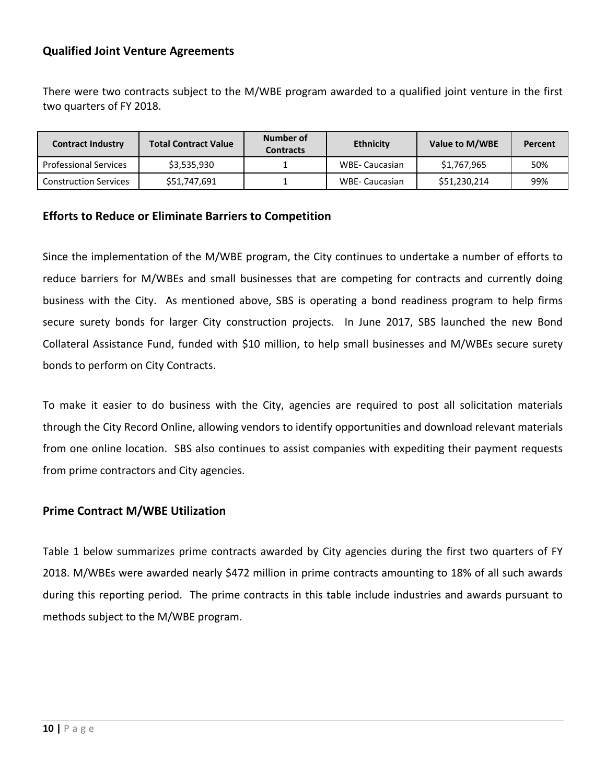#### **Qualified Joint Venture Agreements**

There were two contracts subject to the M/WBE program awarded to a qualified joint venture in the first two quarters of FY 2018.

| <b>Contract Industry</b>     | <b>Total Contract Value</b> | Number of<br><b>Contracts</b> | <b>Ethnicity</b> | Value to M/WBE | Percent |
|------------------------------|-----------------------------|-------------------------------|------------------|----------------|---------|
| <b>Professional Services</b> | \$3,535,930                 |                               | WBE- Caucasian   | \$1,767,965    | 50%     |
| <b>Construction Services</b> | \$51,747,691                |                               | WBE- Caucasian   | \$51,230,214   | 99%     |

#### **Efforts to Reduce or Eliminate Barriers to Competition**

Since the implementation of the M/WBE program, the City continues to undertake a number of efforts to reduce barriers for M/WBEs and small businesses that are competing for contracts and currently doing business with the City. As mentioned above, SBS is operating a bond readiness program to help firms secure surety bonds for larger City construction projects. In June 2017, SBS launched the new Bond Collateral Assistance Fund, funded with \$10 million, to help small businesses and M/WBEs secure surety bonds to perform on City Contracts.

To make it easier to do business with the City, agencies are required to post all solicitation materials through the City Record Online, allowing vendors to identify opportunities and download relevant materials from one online location. SBS also continues to assist companies with expediting their payment requests from prime contractors and City agencies.

#### **Prime Contract M/WBE Utilization**

Table 1 below summarizes prime contracts awarded by City agencies during the first two quarters of FY 2018. M/WBEs were awarded nearly \$472 million in prime contracts amounting to 18% of all such awards during this reporting period. The prime contracts in this table include industries and awards pursuant to methods subject to the M/WBE program.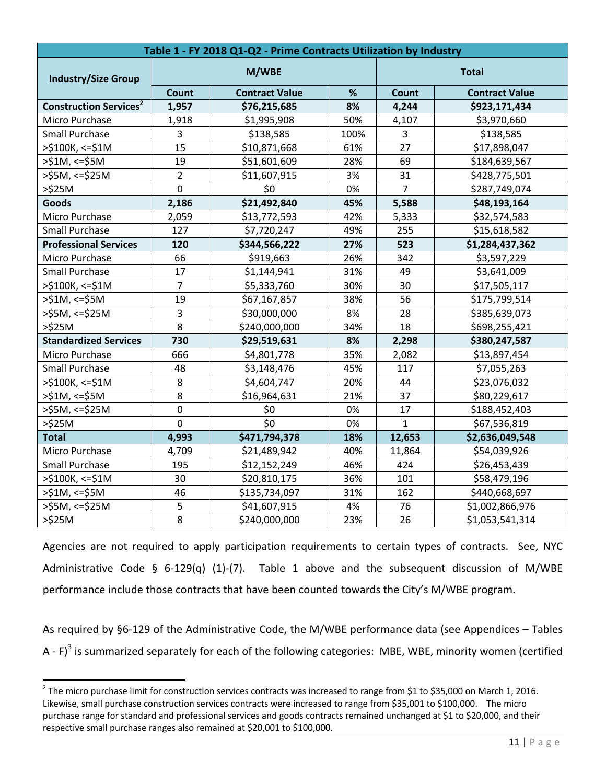| Table 1 - FY 2018 Q1-Q2 - Prime Contracts Utilization by Industry |                |                            |      |                |                       |  |
|-------------------------------------------------------------------|----------------|----------------------------|------|----------------|-----------------------|--|
| <b>Industry/Size Group</b>                                        | M/WBE          |                            |      | <b>Total</b>   |                       |  |
|                                                                   | Count          | %<br><b>Contract Value</b> |      | Count          | <b>Contract Value</b> |  |
| <b>Construction Services<sup>2</sup></b>                          | 1,957          | \$76,215,685               | 8%   |                | \$923,171,434         |  |
| Micro Purchase                                                    | 1,918          | \$1,995,908                | 50%  | 4,107          | \$3,970,660           |  |
| <b>Small Purchase</b>                                             | 3              | \$138,585                  | 100% | 3              | \$138,585             |  |
| $>$ \$100K, <=\$1M                                                | 15             | \$10,871,668               | 61%  | 27             | \$17,898,047          |  |
| $>51M$ , <= $$5M$                                                 | 19             | \$51,601,609               | 28%  | 69             | \$184,639,567         |  |
| $>$ \$5M, <=\$25M                                                 | $\overline{2}$ | \$11,607,915               | 3%   | 31             | \$428,775,501         |  |
| $>525M$                                                           | $\overline{0}$ | \$0                        | 0%   | $\overline{7}$ | \$287,749,074         |  |
| <b>Goods</b>                                                      | 2,186          | \$21,492,840               | 45%  | 5,588          | \$48,193,164          |  |
| Micro Purchase                                                    | 2,059          | \$13,772,593               | 42%  | 5,333          | \$32,574,583          |  |
| <b>Small Purchase</b>                                             | 127            | \$7,720,247                | 49%  | 255            | \$15,618,582          |  |
| <b>Professional Services</b>                                      | 120            | \$344,566,222              | 27%  | 523            | \$1,284,437,362       |  |
| Micro Purchase                                                    | 66             | \$919,663                  | 26%  | 342            | \$3,597,229           |  |
| <b>Small Purchase</b>                                             | 17             | \$1,144,941                | 31%  | 49             | \$3,641,009           |  |
| >\$100K, <= \$1M                                                  | $\overline{7}$ | \$5,333,760                | 30%  | 30             | \$17,505,117          |  |
| $>51M$ , <= $$5M$                                                 | 19             | \$67,167,857               | 38%  | 56             | \$175,799,514         |  |
| >\$5M, <=\$25M                                                    | 3              | \$30,000,000               | 8%   | 28             | \$385,639,073         |  |
| $>525M$                                                           | $\overline{8}$ | \$240,000,000              | 34%  | 18             | \$698,255,421         |  |
| <b>Standardized Services</b>                                      | 730            | \$29,519,631               | 8%   | 2,298          | \$380,247,587         |  |
| Micro Purchase                                                    | 666            | \$4,801,778                | 35%  | 2,082          | \$13,897,454          |  |
| <b>Small Purchase</b>                                             | 48             | \$3,148,476                | 45%  | 117            | \$7,055,263           |  |
| >\$100K, <= \$1M                                                  | 8              | \$4,604,747                | 20%  | 44             | \$23,076,032          |  |
| $> $1M, < = $5M$                                                  | 8              | \$16,964,631               | 21%  | 37             | \$80,229,617          |  |
| $>55M$ , <= $$25M$                                                | $\mathbf 0$    | \$0                        | 0%   | 17             | \$188,452,403         |  |
| $>\frac{6}{2}$ 25M                                                | $\overline{0}$ | \$0                        | 0%   | $\mathbf{1}$   | \$67,536,819          |  |
| <b>Total</b>                                                      | 4,993          | \$471,794,378              | 18%  | 12,653         | \$2,636,049,548       |  |
| Micro Purchase                                                    | 4,709          | \$21,489,942               | 40%  | 11,864         | \$54,039,926          |  |
| Small Purchase                                                    | 195            | \$12,152,249               | 46%  | 424            | \$26,453,439          |  |
| $>$ \$100K, <=\$1M                                                | 30             | \$20,810,175               | 36%  | 101            | \$58,479,196          |  |
| $> $1M, < = $5M$                                                  | 46             | \$135,734,097              | 31%  | 162            | \$440,668,697         |  |
| >\$5M, <=\$25M                                                    | 5              | \$41,607,915               | 4%   | 76             | \$1,002,866,976       |  |
| $>525M$                                                           | 8              | \$240,000,000              | 23%  | 26             | \$1,053,541,314       |  |

Agencies are not required to apply participation requirements to certain types of contracts. See, NYC Administrative Code § 6-129(q) (1)-(7). Table 1 above and the subsequent discussion of M/WBE performance include those contracts that have been counted towards the City's M/WBE program.

As required by §6‐129 of the Administrative Code, the M/WBE performance data (see Appendices – Tables A -  $F$ <sup>3</sup> is summarized separately for each of the following categories: MBE, WBE, minority women (certified

 $2$  The micro purchase limit for construction services contracts was increased to range from \$1 to \$35,000 on March 1, 2016. Likewise, small purchase construction services contracts were increased to range from \$35,001 to \$100,000. The micro purchase range for standard and professional services and goods contracts remained unchanged at \$1 to \$20,000, and their respective small purchase ranges also remained at \$20,001 to \$100,000.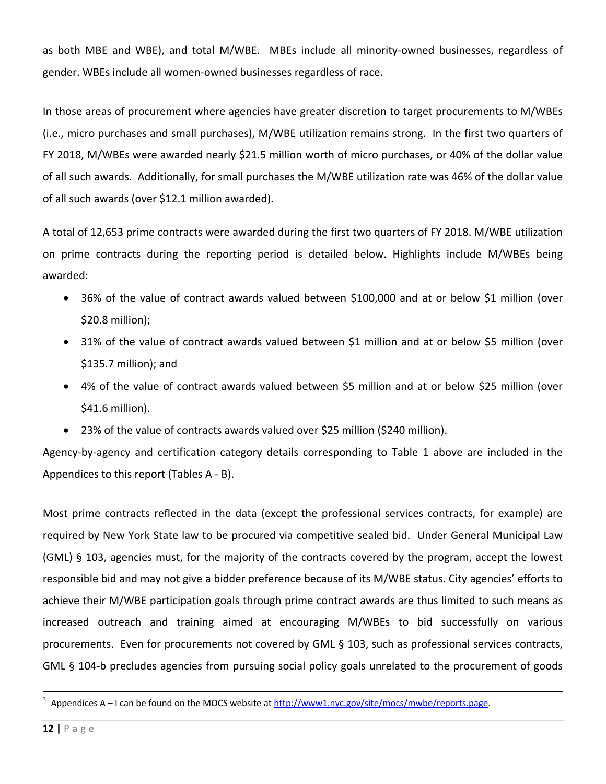as both MBE and WBE), and total M/WBE. MBEs include all minority-owned businesses, regardless of gender. WBEs include all women‐owned businesses regardless of race.

In those areas of procurement where agencies have greater discretion to target procurements to M/WBEs (i.e., micro purchases and small purchases), M/WBE utilization remains strong. In the first two quarters of FY 2018, M/WBEs were awarded nearly \$21.5 million worth of micro purchases, or 40% of the dollar value of all such awards. Additionally, for small purchases the M/WBE utilization rate was 46% of the dollar value of all such awards (over \$12.1 million awarded).

A total of 12,653 prime contracts were awarded during the first two quarters of FY 2018. M/WBE utilization on prime contracts during the reporting period is detailed below. Highlights include M/WBEs being awarded:

- 36% of the value of contract awards valued between \$100,000 and at or below \$1 million (over \$20.8 million);
- 31% of the value of contract awards valued between \$1 million and at or below \$5 million (over \$135.7 million); and
- 4% of the value of contract awards valued between \$5 million and at or below \$25 million (over \$41.6 million).
- 23% of the value of contracts awards valued over \$25 million (\$240 million).

Agency‐by‐agency and certification category details corresponding to Table 1 above are included in the Appendices to this report (Tables A ‐ B).

Most prime contracts reflected in the data (except the professional services contracts, for example) are required by New York State law to be procured via competitive sealed bid. Under General Municipal Law (GML) § 103, agencies must, for the majority of the contracts covered by the program, accept the lowest responsible bid and may not give a bidder preference because of its M/WBE status. City agencies' efforts to achieve their M/WBE participation goals through prime contract awards are thus limited to such means as increased outreach and training aimed at encouraging M/WBEs to bid successfully on various procurements. Even for procurements not covered by GML § 103, such as professional services contracts, GML § 104‐b precludes agencies from pursuing social policy goals unrelated to the procurement of goods

 $^3$  Appendices A – I can be found on the MOCS website at  $\underline{\text{http://www1.nyc.gov/site/mocs/mwbe/reports.page}}$ .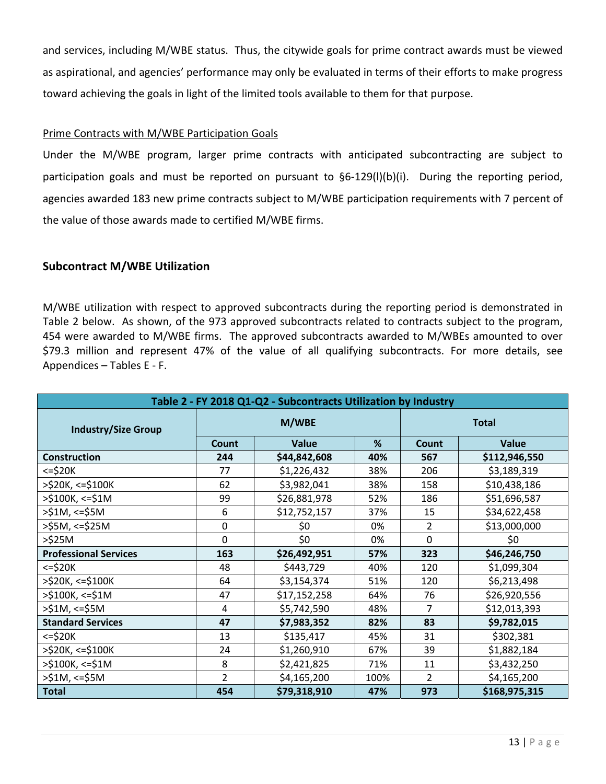and services, including M/WBE status. Thus, the citywide goals for prime contract awards must be viewed as aspirational, and agencies' performance may only be evaluated in terms of their efforts to make progress toward achieving the goals in light of the limited tools available to them for that purpose.

#### Prime Contracts with M/WBE Participation Goals

Under the M/WBE program, larger prime contracts with anticipated subcontracting are subject to participation goals and must be reported on pursuant to §6-129(I)(b)(i). During the reporting period, agencies awarded 183 new prime contracts subject to M/WBE participation requirements with 7 percent of the value of those awards made to certified M/WBE firms.

#### **Subcontract M/WBE Utilization**

M/WBE utilization with respect to approved subcontracts during the reporting period is demonstrated in Table 2 below. As shown, of the 973 approved subcontracts related to contracts subject to the program, 454 were awarded to M/WBE firms. The approved subcontracts awarded to M/WBEs amounted to over \$79.3 million and represent 47% of the value of all qualifying subcontracts. For more details, see Appendices – Tables E ‐ F.

| Table 2 - FY 2018 Q1-Q2 - Subcontracts Utilization by Industry |                |              |              |                |               |  |
|----------------------------------------------------------------|----------------|--------------|--------------|----------------|---------------|--|
| <b>Industry/Size Group</b>                                     |                | M/WBE        | <b>Total</b> |                |               |  |
|                                                                | Count          | <b>Value</b> | %            | Count          | Value         |  |
| <b>Construction</b>                                            | 244            | \$44,842,608 | 40%          | 567            | \$112,946,550 |  |
| <=\$20K                                                        | 77             | \$1,226,432  | 38%          | 206            | \$3,189,319   |  |
| >\$20K, <=\$100K                                               | 62             | \$3,982,041  | 38%          | 158            | \$10,438,186  |  |
| >\$100K, <=\$1M                                                | 99             | \$26,881,978 | 52%          | 186            | \$51,696,587  |  |
| >\$1M, <=\$5M                                                  | 6              | \$12,752,157 | 37%          | 15             | \$34,622,458  |  |
| >\$5M, <=\$25M                                                 | $\mathbf 0$    | \$0          | 0%           | 2              | \$13,000,000  |  |
| >\$25M                                                         | $\mathbf 0$    | \$0          | 0%           | 0              | \$0           |  |
| <b>Professional Services</b>                                   | 163            | \$26,492,951 | 57%          | 323            | \$46,246,750  |  |
| $<=$ \$20 $K$                                                  | 48             | \$443,729    | 40%          | 120            | \$1,099,304   |  |
| >\$20K, <=\$100K                                               | 64             | \$3,154,374  | 51%          | 120            | \$6,213,498   |  |
| >\$100K, <=\$1M                                                | 47             | \$17,152,258 | 64%          | 76             | \$26,920,556  |  |
| >\$1M, <=\$5M                                                  | $\overline{4}$ | \$5,742,590  | 48%          | 7              | \$12,013,393  |  |
| <b>Standard Services</b>                                       | 47             | \$7,983,352  | 82%          | 83             | \$9,782,015   |  |
| $<=$ \$20 $K$                                                  | 13             | \$135,417    | 45%          | 31             | \$302,381     |  |
| >\$20K, <=\$100K                                               | 24             | \$1,260,910  | 67%          | 39             | \$1,882,184   |  |
| >\$100K, <=\$1M                                                | 8              | \$2,421,825  | 71%          | 11             | \$3,432,250   |  |
| >\$1M, <=\$5M                                                  | $\overline{2}$ | \$4,165,200  | 100%         | $\overline{2}$ | \$4,165,200   |  |
| <b>Total</b>                                                   | 454            | \$79,318,910 | 47%          | 973            | \$168,975,315 |  |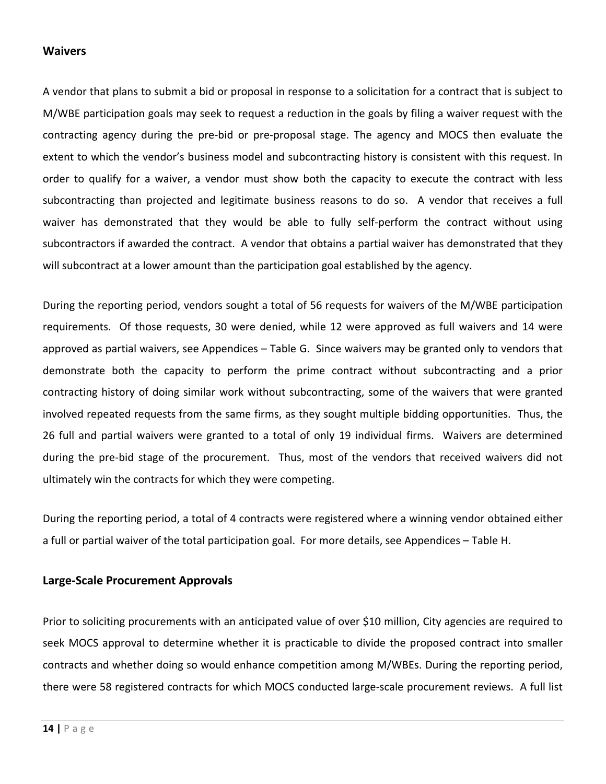#### **Waivers**

A vendor that plans to submit a bid or proposal in response to a solicitation for a contract that is subject to M/WBE participation goals may seek to request a reduction in the goals by filing a waiver request with the contracting agency during the pre‐bid or pre‐proposal stage. The agency and MOCS then evaluate the extent to which the vendor's business model and subcontracting history is consistent with this request. In order to qualify for a waiver, a vendor must show both the capacity to execute the contract with less subcontracting than projected and legitimate business reasons to do so. A vendor that receives a full waiver has demonstrated that they would be able to fully self-perform the contract without using subcontractors if awarded the contract. A vendor that obtains a partial waiver has demonstrated that they will subcontract at a lower amount than the participation goal established by the agency.

During the reporting period, vendors sought a total of 56 requests for waivers of the M/WBE participation requirements. Of those requests, 30 were denied, while 12 were approved as full waivers and 14 were approved as partial waivers, see Appendices – Table G. Since waivers may be granted only to vendors that demonstrate both the capacity to perform the prime contract without subcontracting and a prior contracting history of doing similar work without subcontracting, some of the waivers that were granted involved repeated requests from the same firms, as they sought multiple bidding opportunities. Thus, the 26 full and partial waivers were granted to a total of only 19 individual firms. Waivers are determined during the pre-bid stage of the procurement. Thus, most of the vendors that received waivers did not ultimately win the contracts for which they were competing.

During the reporting period, a total of 4 contracts were registered where a winning vendor obtained either a full or partial waiver of the total participation goal. For more details, see Appendices – Table H.

#### **Large‐Scale Procurement Approvals**

Prior to soliciting procurements with an anticipated value of over \$10 million, City agencies are required to seek MOCS approval to determine whether it is practicable to divide the proposed contract into smaller contracts and whether doing so would enhance competition among M/WBEs. During the reporting period, there were 58 registered contracts for which MOCS conducted large‐scale procurement reviews. A full list